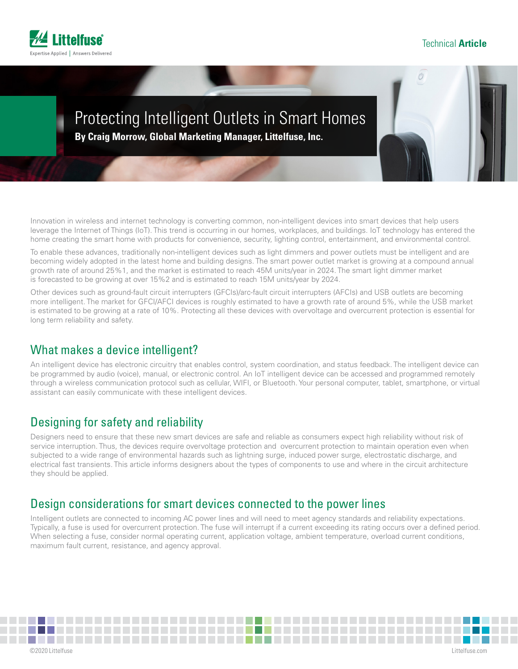

# Protecting Intelligent Outlets in Smart Homes

**By Craig Morrow, Global Marketing Manager, Littelfuse, Inc.** 

Innovation in wireless and internet technology is converting common, non-intelligent devices into smart devices that help users leverage the Internet of Things (IoT). This trend is occurring in our homes, workplaces, and buildings. IoT technology has entered the home creating the smart home with products for convenience, security, lighting control, entertainment, and environmental control.

To enable these advances, traditionally non-intelligent devices such as light dimmers and power outlets must be intelligent and are becoming widely adopted in the latest home and building designs. The smart power outlet market is growing at a compound annual growth rate of around 25%1, and the market is estimated to reach 45M units/year in 2024. The smart light dimmer market is forecasted to be growing at over 15%2 and is estimated to reach 15M units/year by 2024.

Other devices such as ground-fault circuit interrupters (GFCIs)/arc-fault circuit interrupters (AFCIs) and USB outlets are becoming more intelligent. The market for GFCI/AFCI devices is roughly estimated to have a growth rate of around 5%, while the USB market is estimated to be growing at a rate of 10%. Protecting all these devices with overvoltage and overcurrent protection is essential for long term reliability and safety.

# What makes a device intelligent?

An intelligent device has electronic circuitry that enables control, system coordination, and status feedback. The intelligent device can be programmed by audio (voice), manual, or electronic control. An IoT intelligent device can be accessed and programmed remotely through a wireless communication protocol such as cellular, WIFI, or Bluetooth. Your personal computer, tablet, smartphone, or virtual assistant can easily communicate with these intelligent devices.

# Designing for safety and reliability

Designers need to ensure that these new smart devices are safe and reliable as consumers expect high reliability without risk of service interruption. Thus, the devices require overvoltage protection and overcurrent protection to maintain operation even when subjected to a wide range of environmental hazards such as lightning surge, induced power surge, electrostatic discharge, and electrical fast transients. This article informs designers about the types of components to use and where in the circuit architecture they should be applied.

### Design considerations for smart devices connected to the power lines

Intelligent outlets are connected to incoming AC power lines and will need to meet agency standards and reliability expectations. Typically, a fuse is used for overcurrent protection. The fuse will interrupt if a current exceeding its rating occurs over a defined period. When selecting a fuse, consider normal operating current, application voltage, ambient temperature, overload current conditions, maximum fault current, resistance, and agency approval.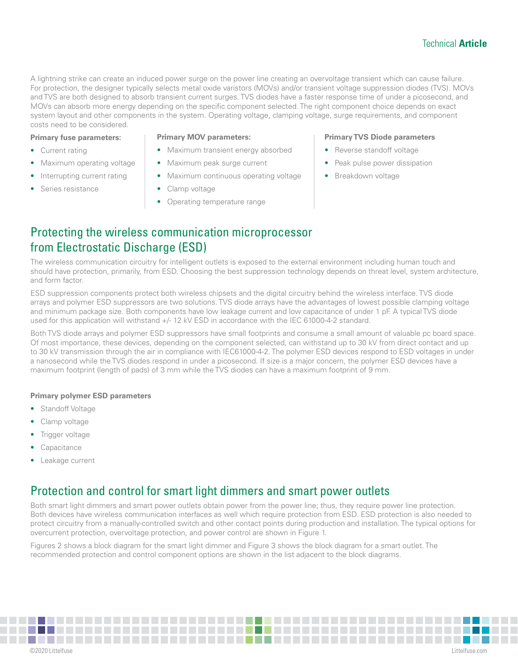A lightning strike can create an induced power surge on the power line creating an overvoltage transient which can cause failure. For protection, the designer typically selects metal oxide varistors (MOVs) and/or transient voltage suppression diodes (TVS). MOVs and TVS are both designed to absorb transient current surges. TVS diodes have a faster response time of under a picosecond, and MOVs can absorb more energy depending on the specific component selected. The right component choice depends on exact system layout and other components in the system. Operating voltage, clamping voltage, surge requirements, and component costs need to be considered.

#### **Primary fuse parameters:**

- Current rating
- Maximum operating voltage
- Interrupting current rating
- Series resistance

#### **Primary MOV parameters:**

- Maximum transient energy absorbed
- Maximum peak surge current
- Maximum continuous operating voltage
- Clamp voltage
- Operating temperature range

#### **Primary TVS Diode parameters**

- Reverse standoff voltage
- Peak pulse power dissipation
- Breakdown voltage

# Protecting the wireless communication microprocessor from Electrostatic Discharge (ESD)

The wireless communication circuitry for intelligent outlets is exposed to the external environment including human touch and should have protection, primarily, from ESD. Choosing the best suppression technology depends on threat level, system architecture, and form factor.

ESD suppression components protect both wireless chipsets and the digital circuitry behind the wireless interface. TVS diode arrays and polymer ESD suppressors are two solutions. TVS diode arrays have the advantages of lowest possible clamping voltage and minimum package size. Both components have low leakage current and low capacitance of under 1 pF. A typical TVS diode used for this application will withstand +/- 12 kV ESD in accordance with the IEC 61000-4-2 standard.

Both TVS diode arrays and polymer ESD suppressors have small footprints and consume a small amount of valuable pc board space. Of most importance, these devices, depending on the component selected, can withstand up to 30 kV from direct contact and up to 30 kV transmission through the air in compliance with IEC61000-4-2. The polymer ESD devices respond to ESD voltages in under a nanosecond while the TVS diodes respond in under a picosecond. If size is a major concern, the polymer ESD devices have a maximum footprint (length of pads) of 3 mm while the TVS diodes can have a maximum footprint of 9 mm.

#### **Primary polymer ESD parameters**

- **Standoff Voltage**
- Clamp voltage
- Trigger voltage
- **Capacitance**
- Leakage current

### Protection and control for smart light dimmers and smart power outlets

Both smart light dimmers and smart power outlets obtain power from the power line; thus, they require power line protection. Both devices have wireless communication interfaces as well which require protection from ESD. ESD protection is also needed to protect circuitry from a manually-controlled switch and other contact points during production and installation. The typical options for overcurrent protection, overvoltage protection, and power control are shown in Figure 1.

Figures 2 shows a block diagram for the smart light dimmer and Figure 3 shows the block diagram for a smart outlet. The recommended protection and control component options are shown in the list adjacent to the block diagrams.

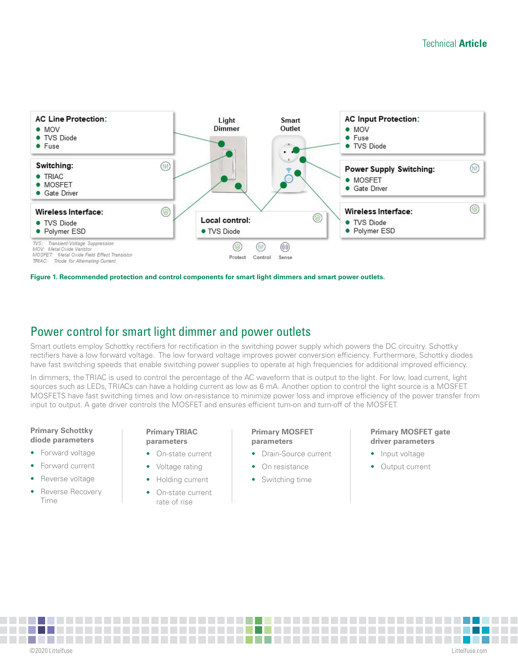

**Figure 1. Recommended protection and control components for smart light dimmers and smart power outlets.**

### Power control for smart light dimmer and power outlets

Smart outlets employ Schottky rectifiers for rectification in the switching power supply which powers the DC circuitry. Schottky rectifiers have a low forward voltage. The low forward voltage improves power conversion efficiency. Furthermore, Schottky diodes have fast switching speeds that enable switching power supplies to operate at high frequencies for additional improved efficiency.

In dimmers, the TRIAC is used to control the percentage of the AC waveform that is output to the light. For low, load current, light sources such as LEDs, TRIACs can have a holding current as low as 6 mA. Another option to control the light source is a MOSFET. MOSFETS have fast switching times and low on-resistance to minimize power loss and improve efficiency of the power transfer from input to output. A gate driver controls the MOSFET and ensures efficient turn-on and turn-off of the MOSFET.

#### **Primary Schottky diode parameters**

- Forward voltage
- Forward current
- Reverse voltage
- Reverse Recovery Time

#### **Primary TRIAC parameters**

- On-state current
- Voltage rating
- Holding current
	- On-state current rate of rise

#### **Primary MOSFET parameters**

- Drain-Source current
- On resistance
- Switching time

#### **Primary MOSFET gate driver parameters**

- Input voltage
- Output current

**COL** ©2020 Littelfuse L[ittelfuse.com](http://www.littelfuse.com)

<u> Samuel Ba</u>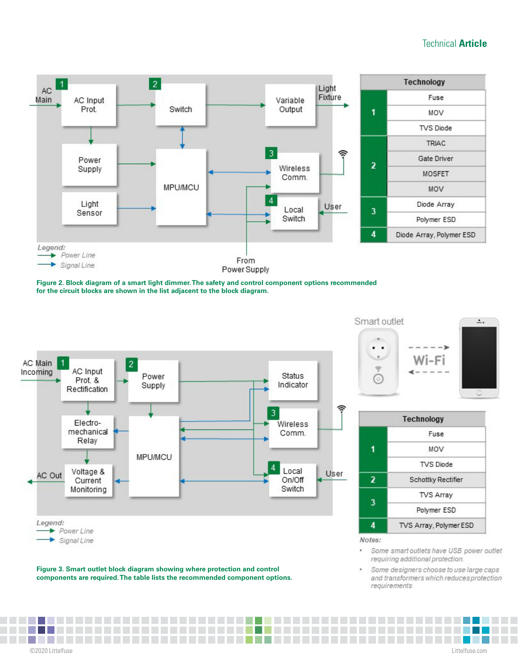

**Figure 2. Block diagram of a smart light dimmer. The safety and control component options recommended for the circuit blocks are shown in the list adjacent to the block diagram.**



Smart outlet ٠  $\cdot$  $\sim$  $\Rightarrow$ 0



|   | Technology             |  |
|---|------------------------|--|
|   | Fuse                   |  |
| 1 | MOV                    |  |
|   | <b>TVS Diode</b>       |  |
|   | Schottky Rectifier     |  |
| 3 | <b>TVS Array</b>       |  |
|   | Polymer ESD            |  |
|   | TVS Array, Polymer ESD |  |

#### Notes:

- Some smart outlets have USB power outlet requiring additional protection.
- Some designers choose to use large caps and transformers which reduces protection requirements

**Figure 3. Smart outlet block diagram showing where protection and control components are required. The table lists the recommended component options.** 

**Contract**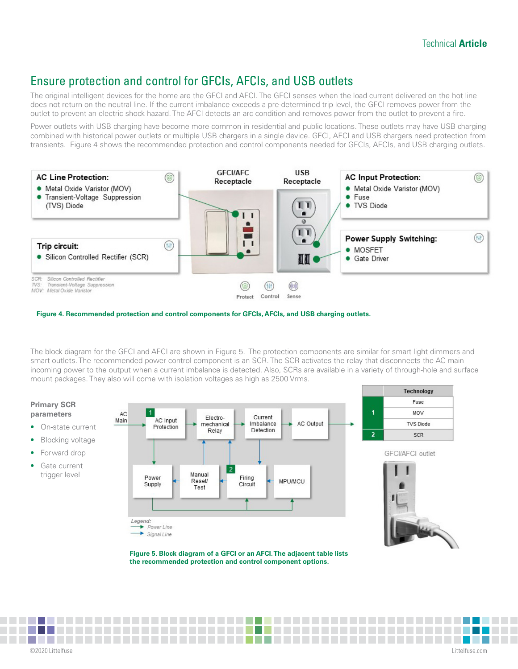# Ensure protection and control for GFCIs, AFCIs, and USB outlets

The original intelligent devices for the home are the GFCI and AFCI. The GFCI senses when the load current delivered on the hot line does not return on the neutral line. If the current imbalance exceeds a pre-determined trip level, the GFCI removes power from the outlet to prevent an electric shock hazard. The AFCI detects an arc condition and removes power from the outlet to prevent a fire.

Power outlets with USB charging have become more common in residential and public locations. These outlets may have USB charging combined with historical power outlets or multiple USB chargers in a single device. GFCI, AFCI and USB chargers need protection from transients. Figure 4 shows the recommended protection and control components needed for GFCIs, AFCIs, and USB charging outlets.



**Figure 4. Recommended protection and control components for GFCIs, AFCIs, and USB charging outlets.**

The block diagram for the GFCI and AFCI are shown in Figure 5. The protection components are similar for smart light dimmers and smart outlets. The recommended power control component is an SCR. The SCR activates the relay that disconnects the AC main incoming power to the output when a current imbalance is detected. Also, SCRs are available in a variety of through-hole and surface mount packages. They also will come with isolation voltages as high as 2500 Vrms.

#### **Primary SCR parameters**

- On-state current
- **Blocking voltage**
- Forward drop
- Gate current trigger level







©2020 Littelfuse L[ittelfuse.com](http://www.littelfuse.com)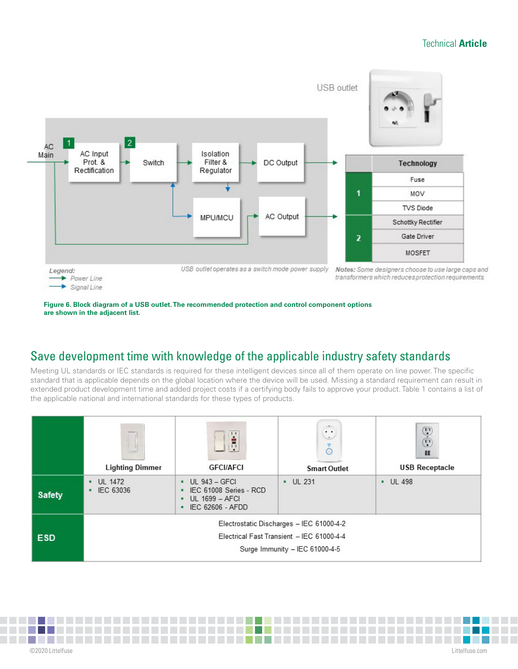

#### **Figure 6. Block diagram of a USB outlet. The recommended protection and control component options are shown in the adjacent list.**

# Save development time with knowledge of the applicable industry safety standards

Meeting UL standards or IEC standards is required for these intelligent devices since all of them operate on line power. The specific standard that is applicable depends on the global location where the device will be used. Missing a standard requirement can result in extended product development time and added project costs if a certifying body fails to approve your product. Table 1 contains a list of the applicable national and international standards for these types of products.

|               | <b>SERVICE</b><br><b>Lighting Dimmer</b>                                                                                | 11<br>Ė<br><b>GFCI/AFCI</b>                                                                 | $\sim$ 100 $\sim$<br>$\cdot$ .<br>$\sim$<br>័<br><b>Smart Outlet</b> | $\overset{\text{\tiny{(1)}}}{\text{\tiny{(1)}}}$<br>ш<br><b>USB Receptacle</b> |  |
|---------------|-------------------------------------------------------------------------------------------------------------------------|---------------------------------------------------------------------------------------------|----------------------------------------------------------------------|--------------------------------------------------------------------------------|--|
| <b>Safety</b> | $-$ UL 1472<br>• IEC 63036                                                                                              | <b>UL 943 - GFCI</b><br>IEC 61008 Series - RCD<br><b>UL 1699 - AFCI</b><br>IEC 62606 - AFDD | $\cdot$ UL 231                                                       | $-$ UL 498                                                                     |  |
| <b>ESD</b>    | Electrostatic Discharges - IEC 61000-4-2<br>Electrical Fast Transient - IEC 61000-4-4<br>Surge Immunity - IEC 61000-4-5 |                                                                                             |                                                                      |                                                                                |  |